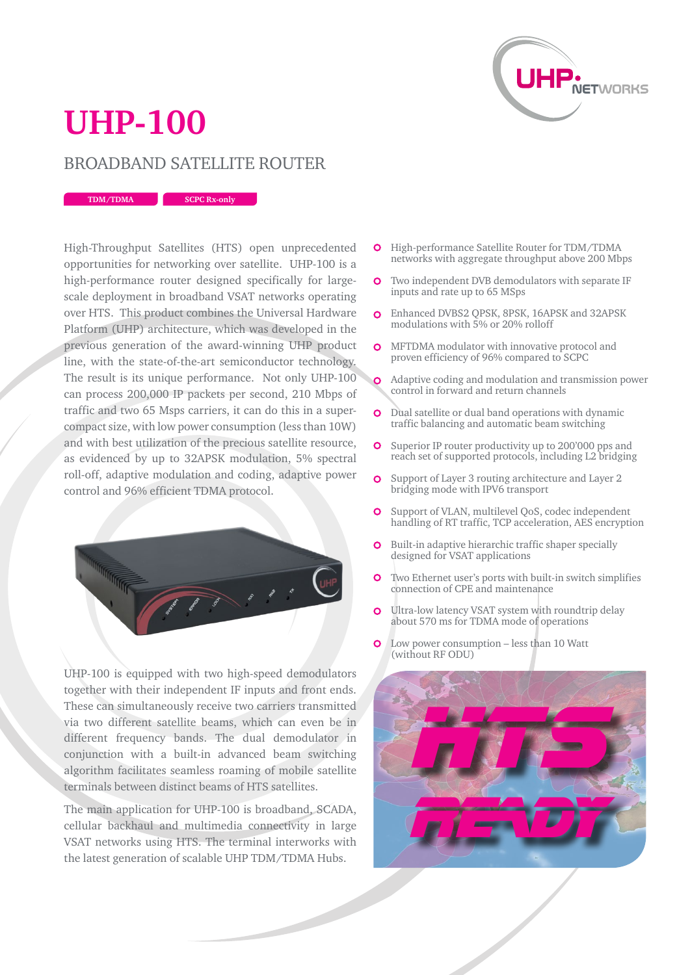

## **UHP-100**

## BROADBAND SATELLITE ROUTER

**TDM/TDMA SCPC Rx-only**

High-Throughput Satellites (HTS) open unprecedented opportunities for networking over satellite. UHP-100 is a high-performance router designed specifically for largescale deployment in broadband VSAT networks operating over HTS. This product combines the Universal Hardware Platform (UHP) architecture, which was developed in the previous generation of the award-winning UHP product line, with the state-of-the-art semiconductor technology. The result is its unique performance. Not only UHP-100 can process 200,000 IP packets per second, 210 Mbps of traffic and two 65 Msps carriers, it can do this in a supercompact size, with low power consumption (less than 10W) and with best utilization of the precious satellite resource, as evidenced by up to 32APSK modulation, 5% spectral roll-off, adaptive modulation and coding, adaptive power control and 96% efficient TDMA protocol.



UHP-100 is equipped with two high-speed demodulators together with their independent IF inputs and front ends. These can simultaneously receive two carriers transmitted via two different satellite beams, which can even be in different frequency bands. The dual demodulator in conjunction with a built-in advanced beam switching algorithm facilitates seamless roaming of mobile satellite terminals between distinct beams of HTS satellites.

The main application for UHP-100 is broadband, SCADA, cellular backhaul and multimedia connectivity in large VSAT networks using HTS. The terminal interworks with the latest generation of scalable UHP TDM/TDMA Hubs.

- **O** High-performance Satellite Router for TDM/TDMA networks with aggregate throughput above 200 Mbps
- $\Omega$ Two independent DVB demodulators with separate IF inputs and rate up to 65 MSps
- Enhanced DVBS2 QPSK, 8PSK, 16APSK and 32APSK  $\Omega$ modulations with 5% or 20% rolloff
- **O** MFTDMA modulator with innovative protocol and proven efficiency of 96% compared to SCPC
- Adaptive coding and modulation and transmission power control in forward and return channels
- $\overline{O}$ Dual satellite or dual band operations with dynamic traffic balancing and automatic beam switching
- $\Omega$ Superior IP router productivity up to 200'000 pps and reach set of supported protocols, including L2 bridging
- $\overline{O}$ Support of Layer 3 routing architecture and Layer 2 bridging mode with IPV6 transport
- $\Omega$ Support of VLAN, multilevel QoS, codec independent handling of RT traffic, TCP acceleration, AES encryption
- Built-in adaptive hierarchic traffic shaper specially  $\Omega$ designed for VSAT applications
- Two Ethernet user's ports with built-in switch simplifies  $\Omega$ connection of CPE and maintenance
- Ultra-low latency VSAT system with roundtrip delay  $\Omega$ about 570 ms for TDMA mode of operations
- Low power consumption less than 10 Watt (without RF ODU)